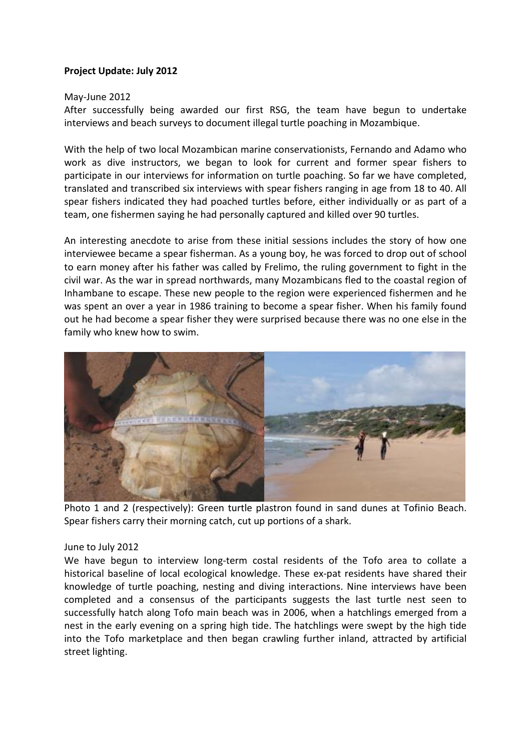## **Project Update: July 2012**

## May-June 2012

After successfully being awarded our first RSG, the team have begun to undertake interviews and beach surveys to document illegal turtle poaching in Mozambique.

With the help of two local Mozambican marine conservationists, Fernando and Adamo who work as dive instructors, we began to look for current and former spear fishers to participate in our interviews for information on turtle poaching. So far we have completed, translated and transcribed six interviews with spear fishers ranging in age from 18 to 40. All spear fishers indicated they had poached turtles before, either individually or as part of a team, one fishermen saying he had personally captured and killed over 90 turtles.

An interesting anecdote to arise from these initial sessions includes the story of how one interviewee became a spear fisherman. As a young boy, he was forced to drop out of school to earn money after his father was called by Frelimo, the ruling government to fight in the civil war. As the war in spread northwards, many Mozambicans fled to the coastal region of Inhambane to escape. These new people to the region were experienced fishermen and he was spent an over a year in 1986 training to become a spear fisher. When his family found out he had become a spear fisher they were surprised because there was no one else in the family who knew how to swim.



Photo 1 and 2 (respectively): Green turtle plastron found in sand dunes at Tofinio Beach. Spear fishers carry their morning catch, cut up portions of a shark.

## June to July 2012

We have begun to interview long-term costal residents of the Tofo area to collate a historical baseline of local ecological knowledge. These ex-pat residents have shared their knowledge of turtle poaching, nesting and diving interactions. Nine interviews have been completed and a consensus of the participants suggests the last turtle nest seen to successfully hatch along Tofo main beach was in 2006, when a hatchlings emerged from a nest in the early evening on a spring high tide. The hatchlings were swept by the high tide into the Tofo marketplace and then began crawling further inland, attracted by artificial street lighting.